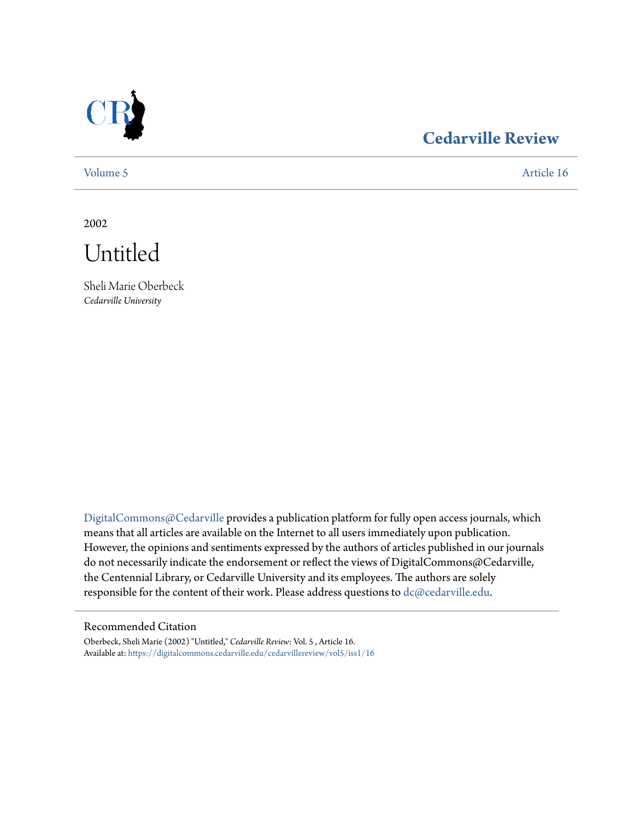

## **[Cedarville Review](https://digitalcommons.cedarville.edu/cedarvillereview?utm_source=digitalcommons.cedarville.edu%2Fcedarvillereview%2Fvol5%2Fiss1%2F16&utm_medium=PDF&utm_campaign=PDFCoverPages)**

[Volume 5](https://digitalcommons.cedarville.edu/cedarvillereview/vol5?utm_source=digitalcommons.cedarville.edu%2Fcedarvillereview%2Fvol5%2Fiss1%2F16&utm_medium=PDF&utm_campaign=PDFCoverPages) [Article 16](https://digitalcommons.cedarville.edu/cedarvillereview/vol5/iss1/16?utm_source=digitalcommons.cedarville.edu%2Fcedarvillereview%2Fvol5%2Fiss1%2F16&utm_medium=PDF&utm_campaign=PDFCoverPages)

2002

Untitled

Sheli Marie Oberbeck *Cedarville University*

[DigitalCommons@Cedarville](http://digitalcommons.cedarville.edu) provides a publication platform for fully open access journals, which means that all articles are available on the Internet to all users immediately upon publication. However, the opinions and sentiments expressed by the authors of articles published in our journals do not necessarily indicate the endorsement or reflect the views of DigitalCommons@Cedarville, the Centennial Library, or Cedarville University and its employees. The authors are solely responsible for the content of their work. Please address questions to [dc@cedarville.edu](mailto:dc@cedarville.edu).

#### Recommended Citation

Oberbeck, Sheli Marie (2002) "Untitled," *Cedarville Review*: Vol. 5 , Article 16. Available at: [https://digitalcommons.cedarville.edu/cedarvillereview/vol5/iss1/16](https://digitalcommons.cedarville.edu/cedarvillereview/vol5/iss1/16?utm_source=digitalcommons.cedarville.edu%2Fcedarvillereview%2Fvol5%2Fiss1%2F16&utm_medium=PDF&utm_campaign=PDFCoverPages)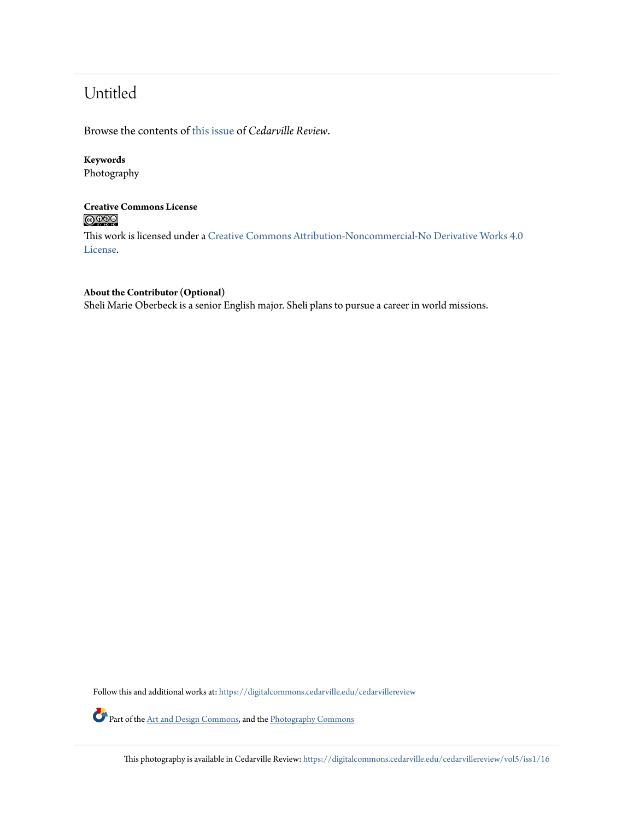# Untitled

Browse the contents of [this issue](https://digitalcommons.cedarville.edu/cedarvillereview/vol5/iss1) of *Cedarville Review*.

## **Keywords**

Photography

## **Creative Commons License**  $\bigcirc$   $\circ$

This work is licensed under a [Creative Commons Attribution-Noncommercial-No Derivative Works 4.0](http://creativecommons.org/licenses/by-nc-nd/4.0/) [License.](http://creativecommons.org/licenses/by-nc-nd/4.0/)

## **About the Contributor (Optional)**

Sheli Marie Oberbeck is a senior English major. Sheli plans to pursue a career in world missions.

Follow this and additional works at: [https://digitalcommons.cedarville.edu/cedarvillereview](https://digitalcommons.cedarville.edu/cedarvillereview?utm_source=digitalcommons.cedarville.edu%2Fcedarvillereview%2Fvol5%2Fiss1%2F16&utm_medium=PDF&utm_campaign=PDFCoverPages)

Part of the [Art and Design Commons,](http://network.bepress.com/hgg/discipline/1049?utm_source=digitalcommons.cedarville.edu%2Fcedarvillereview%2Fvol5%2Fiss1%2F16&utm_medium=PDF&utm_campaign=PDFCoverPages) and the [Photography Commons](http://network.bepress.com/hgg/discipline/1142?utm_source=digitalcommons.cedarville.edu%2Fcedarvillereview%2Fvol5%2Fiss1%2F16&utm_medium=PDF&utm_campaign=PDFCoverPages)